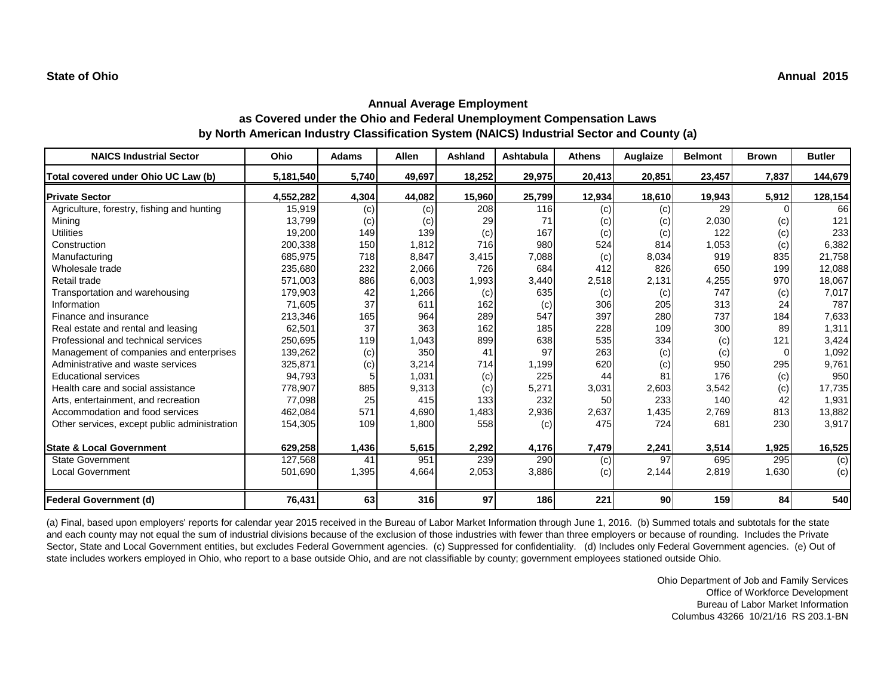## **Annual Average Employment as Covered under the Ohio and Federal Unemployment Compensation Laws by North American Industry Classification System (NAICS) Industrial Sector and County (a)**

| <b>NAICS Industrial Sector</b>               | Ohio      | <b>Adams</b> | <b>Allen</b> | Ashland | Ashtabula | <b>Athens</b> | Auglaize | <b>Belmont</b> | <b>Brown</b> | <b>Butler</b>  |
|----------------------------------------------|-----------|--------------|--------------|---------|-----------|---------------|----------|----------------|--------------|----------------|
| Total covered under Ohio UC Law (b)          | 5,181,540 | 5,740        | 49,697       | 18,252  | 29,975    | 20,413        | 20,851   | 23,457         | 7,837        | 144,679        |
| <b>Private Sector</b>                        | 4,552,282 | 4,304        | 44,082       | 15,960  | 25,799    | 12,934        | 18,610   | 19,943         | 5,912        | 128,154        |
| Agriculture, forestry, fishing and hunting   | 15,919    | (c)          | (c)          | 208     | 116       | (c)           | (c)      | 29             |              | 66             |
| Mining                                       | 13,799    | (c)          | (c)          | 29      | 71        | (c)           | (c)      | 2,030          | (c)          | 121            |
| <b>Utilities</b>                             | 19,200    | 149          | 139          | (c)     | 167       | (c)           | (c)      | 122            | (c)          | 233            |
| Construction                                 | 200,338   | 150          | 1,812        | 716     | 980       | 524           | 814      | 1,053          | (c)          | 6,382          |
| Manufacturing                                | 685,975   | 718          | 8,847        | 3,415   | 7,088     | (c)           | 8,034    | 919            | 835          | 21,758         |
| Wholesale trade                              | 235,680   | 232          | 2,066        | 726     | 684       | 412           | 826      | 650            | 199          | 12,088         |
| Retail trade                                 | 571,003   | 886          | 6,003        | 1,993   | 3,440     | 2,518         | 2,131    | 4,255          | 970          | 18,067         |
| Transportation and warehousing               | 179,903   | 42           | 1,266        | (c)     | 635       | (c)           | (c)      | 747            | (c)          | 7,017          |
| Information                                  | 71,605    | 37           | 611          | 162     | (c)       | 306           | 205      | 313            | 24           | 787            |
| Finance and insurance                        | 213,346   | 165          | 964          | 289     | 547       | 397           | 280      | 737            | 184          | 7,633          |
| Real estate and rental and leasing           | 62,501    | 37           | 363          | 162     | 185       | 228           | 109      | 300            | 89           | 1,311          |
| Professional and technical services          | 250,695   | 119          | 1,043        | 899     | 638       | 535           | 334      | (c)            | 121          | 3,424          |
| Management of companies and enterprises      | 139,262   | (c)          | 350          | 41      | 97        | 263           | (c)      | (c)            |              | 1,092          |
| Administrative and waste services            | 325,871   | (c)          | 3,214        | 714     | 1,199     | 620           | (c)      | 950            | 295          | 9,761          |
| <b>Educational services</b>                  | 94,793    |              | 1,031        | (c)     | 225       | 44            | 81       | 176            | (c)          | 950            |
| Health care and social assistance            | 778,907   | 885          | 9,313        | (c)     | 5,271     | 3,031         | 2,603    | 3,542          | (c)          | 17,735         |
| Arts, entertainment, and recreation          | 77,098    | 25           | 415          | 133     | 232       | 50            | 233      | 140            | 42           | 1,931          |
| Accommodation and food services              | 462,084   | 571          | 4,690        | 1,483   | 2,936     | 2,637         | 1,435    | 2,769          | 813          | 13,882         |
| Other services, except public administration | 154,305   | 109          | 1,800        | 558     | (c)       | 475           | 724      | 681            | 230          | 3,917          |
| <b>State &amp; Local Government</b>          | 629,258   | 1,436        | 5,615        | 2,292   | 4,176     | 7,479         | 2,241    | 3,514          | 1,925        | 16,525         |
| <b>State Government</b>                      | 127,568   | 41           | 951          | 239     | 290       | (c)           | 97       | 695            | 295          | $\overline{c}$ |
| <b>Local Government</b>                      | 501,690   | 1,395        | 4,664        | 2,053   | 3,886     | (c)           | 2,144    | 2,819          | 1,630        | (c)            |
| <b>Federal Government (d)</b>                | 76,431    | 63           | 316          | 97      | 186       | 221           | 90       | <b>159</b>     | 84           | 540            |

(a) Final, based upon employers' reports for calendar year 2015 received in the Bureau of Labor Market Information through June 1, 2016. (b) Summed totals and subtotals for the state and each county may not equal the sum of industrial divisions because of the exclusion of those industries with fewer than three employers or because of rounding. Includes the Private Sector, State and Local Government entities, but excludes Federal Government agencies. (c) Suppressed for confidentiality. (d) Includes only Federal Government agencies. (e) Out of state includes workers employed in Ohio, who report to a base outside Ohio, and are not classifiable by county; government employees stationed outside Ohio.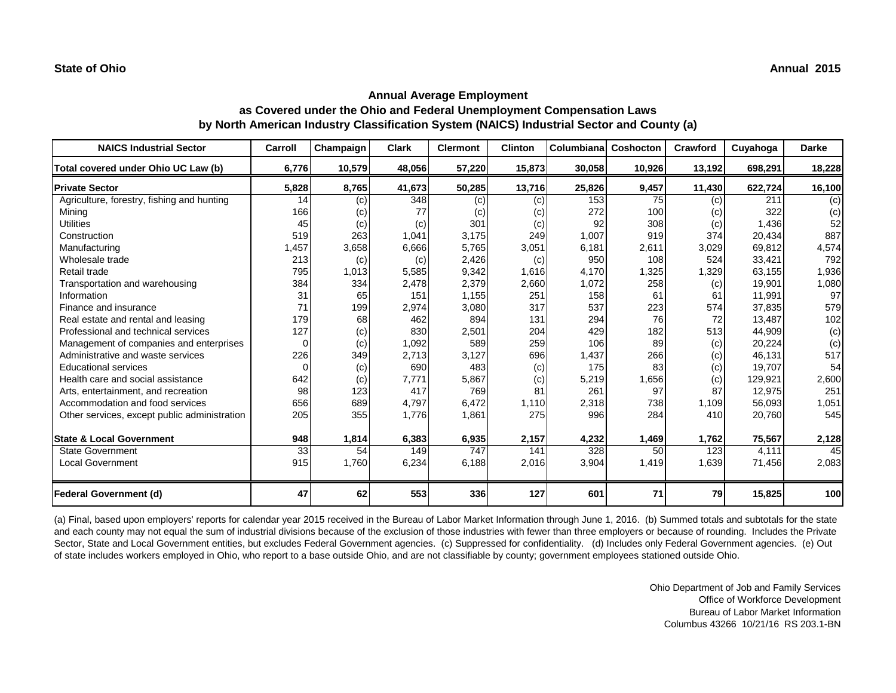| <b>NAICS Industrial Sector</b>               | Carroll  | Champaign | <b>Clark</b> | <b>Clermont</b> | <b>Clinton</b> | Columbiana | Coshocton | Crawford | Cuyahoga | <b>Darke</b> |
|----------------------------------------------|----------|-----------|--------------|-----------------|----------------|------------|-----------|----------|----------|--------------|
| Total covered under Ohio UC Law (b)          | 6,776    | 10,579    | 48,056       | 57,220          | 15,873         | 30,058     | 10,926    | 13,192   | 698,291  | 18,228       |
| <b>Private Sector</b>                        | 5,828    | 8,765     | 41,673       | 50,285          | 13,716         | 25,826     | 9,457     | 11,430   | 622,724  | 16,100       |
| Agriculture, forestry, fishing and hunting   | 14       | (c)       | 348          | (c)             | (c)            | 153        | 75        | (c)      | 211      | (c)          |
| Mining                                       | 166      | (c)       | 77           | (c)             | (c)            | 272        | 100       | (c)      | 322      | (c)          |
| <b>Utilities</b>                             | 45       | (c)       | (c)          | 301             | (c)            | 92         | 308       | (c)      | 1,436    | 52           |
| Construction                                 | 519      | 263       | 1,041        | 3,175           | 249            | 1,007      | 919       | 374      | 20,434   | 887          |
| Manufacturing                                | 1,457    | 3,658     | 6,666        | 5,765           | 3,051          | 6,181      | 2,611     | 3,029    | 69,812   | 4,574        |
| Wholesale trade                              | 213      | (c)       | (c)          | 2,426           | (c)            | 950        | 108       | 524      | 33,421   | 792          |
| Retail trade                                 | 795      | 1,013     | 5,585        | 9,342           | 1,616          | 4,170      | 1,325     | 1,329    | 63,155   | 1,936        |
| Transportation and warehousing               | 384      | 334       | 2,478        | 2,379           | 2,660          | 1,072      | 258       | (c)      | 19,901   | 1,080        |
| Information                                  | 31       | 65        | 151          | 1,155           | 251            | 158        | 61        | 61       | 11,991   | 97           |
| Finance and insurance                        | 71       | 199       | 2,974        | 3,080           | 317            | 537        | 223       | 574      | 37,835   | 579          |
| Real estate and rental and leasing           | 179      | 68        | 462          | 894             | 131            | 294        | 76        | 72       | 13,487   | 102          |
| Professional and technical services          | 127      | (c)       | 830          | 2,501           | 204            | 429        | 182       | 513      | 44,909   | (c)          |
| Management of companies and enterprises      | 0        | (c)       | 1,092        | 589             | 259            | 106        | 89        | (c)      | 20,224   | (c)          |
| Administrative and waste services            | 226      | 349       | 2.713        | 3,127           | 696            | 1,437      | 2661      | (c)      | 46,131   | 517          |
| <b>Educational services</b>                  | $\Omega$ | (c)       | 690          | 483             | (c)            | 175        | 83        | (c)      | 19,707   | 54           |
| Health care and social assistance            | 642      | (c)       | 7,771        | 5,867           | (c)            | 5,219      | 1,656     | (c)      | 129,921  | 2,600        |
| Arts, entertainment, and recreation          | 98       | 123       | 417          | 769             | 81             | 261        | 97        | 87       | 12,975   | 251          |
| Accommodation and food services              | 656      | 689       | 4,797        | 6,472           | 1,110          | 2,318      | 738       | 1,109    | 56,093   | 1,051        |
| Other services, except public administration | 205      | 355       | 1,776        | 1,861           | 275            | 996        | 284       | 410      | 20,760   | 545          |
| <b>State &amp; Local Government</b>          | 948      | 1,814     | 6,383        | 6,935           | 2,157          | 4,232      | 1,469     | 1,762    | 75,567   | 2,128        |
| <b>State Government</b>                      | 33       | 54        | 149          | 747             | 141            | 328        | 50        | 123      | 4,111    | 45           |
| <b>Local Government</b>                      | 915      | 1,760     | 6,234        | 6,188           | 2,016          | 3,904      | 1,419     | 1,639    | 71,456   | 2,083        |
| <b>Federal Government (d)</b>                | 47       | 62        | 553          | 336             | 127            | 601        | 71        | 79       | 15,825   | 100          |

(a) Final, based upon employers' reports for calendar year 2015 received in the Bureau of Labor Market Information through June 1, 2016. (b) Summed totals and subtotals for the state and each county may not equal the sum of industrial divisions because of the exclusion of those industries with fewer than three employers or because of rounding. Includes the Private Sector, State and Local Government entities, but excludes Federal Government agencies. (c) Suppressed for confidentiality. (d) Includes only Federal Government agencies. (e) Out of state includes workers employed in Ohio, who report to a base outside Ohio, and are not classifiable by county; government employees stationed outside Ohio.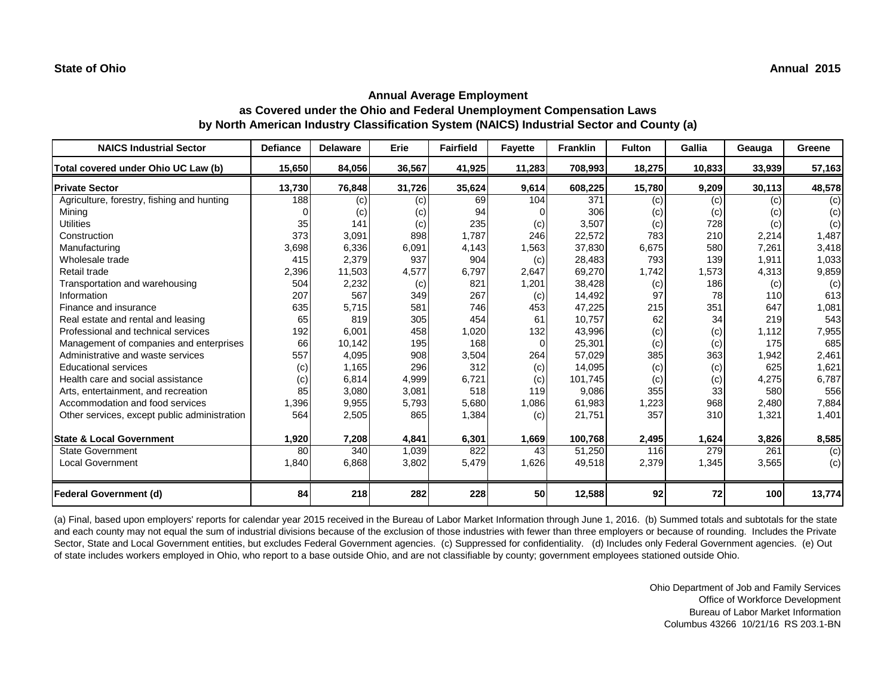# **Annual Average Employment as Covered under the Ohio and Federal Unemployment Compensation Laws by North American Industry Classification System (NAICS) Industrial Sector and County (a)**

| <b>NAICS Industrial Sector</b>               | <b>Defiance</b> | <b>Delaware</b> | Erie   | <b>Fairfield</b> | <b>Fayette</b> | <b>Franklin</b> | <b>Fulton</b> | Gallia | Geauga | Greene |
|----------------------------------------------|-----------------|-----------------|--------|------------------|----------------|-----------------|---------------|--------|--------|--------|
| Total covered under Ohio UC Law (b)          | 15,650          | 84,056          | 36,567 | 41,925           | 11,283         | 708,993         | 18,275        | 10,833 | 33,939 | 57,163 |
| <b>Private Sector</b>                        | 13,730          | 76,848          | 31,726 | 35,624           | 9,614          | 608,225         | 15,780        | 9,209  | 30,113 | 48,578 |
| Agriculture, forestry, fishing and hunting   | 188             | (c)             | (c)    | 69               | 104            | 371             | (c)           | (c)    | (c)    | (c)    |
| Mining                                       |                 | (c)             | (c)    | 94               |                | 306             | (c)           | (c)    | (c)    | (c)    |
| <b>Utilities</b>                             | 35              | 141             | (c)    | 235              | (c)            | 3,507           | (c)           | 728    | (c)    | (c)    |
| Construction                                 | 373             | 3,091           | 898    | 1,787            | 246            | 22,572          | <b>783</b>    | 210    | 2,214  | 1,487  |
| Manufacturing                                | 3,698           | 6,336           | 6,091  | 4,143            | 1,563          | 37,830          | 6,675         | 580    | 7,261  | 3,418  |
| Wholesale trade                              | 415             | 2,379           | 937    | 904              | (c)            | 28,483          | 793           | 139    | 1,911  | 1,033  |
| Retail trade                                 | 2,396           | 11,503          | 4,577  | 6,797            | 2,647          | 69,270          | 1,742         | 1,573  | 4,313  | 9,859  |
| Transportation and warehousing               | 504             | 2,232           | (c)    | 821              | 1,201          | 38,428          | (c)           | 186    | (c)    | (c)    |
| Information                                  | 207             | 567             | 349    | 267              | (c)            | 14,492          | 97            | 78     | 110    | 613    |
| Finance and insurance                        | 635             | 5,715           | 581    | 746              | 453            | 47,225          | 215           | 351    | 647    | 1,081  |
| Real estate and rental and leasing           | 65              | 819             | 305    | 454              | 61             | 10,757          | 62            | 34     | 219    | 543    |
| Professional and technical services          | 192             | 6,001           | 458    | 1,020            | 132            | 43,996          | (c)           | (c)    | 1,112  | 7,955  |
| Management of companies and enterprises      | 66              | 10,142          | 195    | 168              | $\Omega$       | 25,301          | (c)           | (c)    | 175    | 685    |
| Administrative and waste services            | 557             | 4,095           | 908    | 3,504            | 264            | 57,029          | 385           | 363    | 1,942  | 2,461  |
| <b>Educational services</b>                  | (c)             | 1,165           | 296    | 312              | (c)            | 14,095          | (c)           | (c)    | 625    | 1,621  |
| Health care and social assistance            | (c)             | 6,814           | 4,999  | 6,721            | (c)            | 101,745         | (c)           | (c)    | 4,275  | 6,787  |
| Arts, entertainment, and recreation          | 85              | 3,080           | 3,081  | 518              | 119            | 9,086           | 355           | 33     | 580    | 556    |
| Accommodation and food services              | 1,396           | 9,955           | 5,793  | 5,680            | 1,086          | 61,983          | 1,223         | 968    | 2,480  | 7,884  |
| Other services, except public administration | 564             | 2,505           | 865    | 1,384            | (c)            | 21,751          | 357           | 310    | 1,321  | 1,401  |
| <b>State &amp; Local Government</b>          | 1,920           | 7,208           | 4,841  | 6,301            | 1,669          | 100,768         | 2,495         | 1,624  | 3,826  | 8,585  |
| <b>State Government</b>                      | 80              | 340             | 1,039  | 822              | 43             | 51,250          | 116           | 279    | 261    | (c)    |
| <b>Local Government</b>                      | 1,840           | 6,868           | 3,802  | 5,479            | 1,626          | 49,518          | 2,379         | 1,345  | 3,565  | (c)    |
| <b>Federal Government (d)</b>                | 84              | 218             | 282    | 228              | <b>50</b>      | 12,588          | 92            | 72     | 100    | 13,774 |

(a) Final, based upon employers' reports for calendar year 2015 received in the Bureau of Labor Market Information through June 1, 2016. (b) Summed totals and subtotals for the state and each county may not equal the sum of industrial divisions because of the exclusion of those industries with fewer than three employers or because of rounding. Includes the Private Sector, State and Local Government entities, but excludes Federal Government agencies. (c) Suppressed for confidentiality. (d) Includes only Federal Government agencies. (e) Out of state includes workers employed in Ohio, who report to a base outside Ohio, and are not classifiable by county; government employees stationed outside Ohio.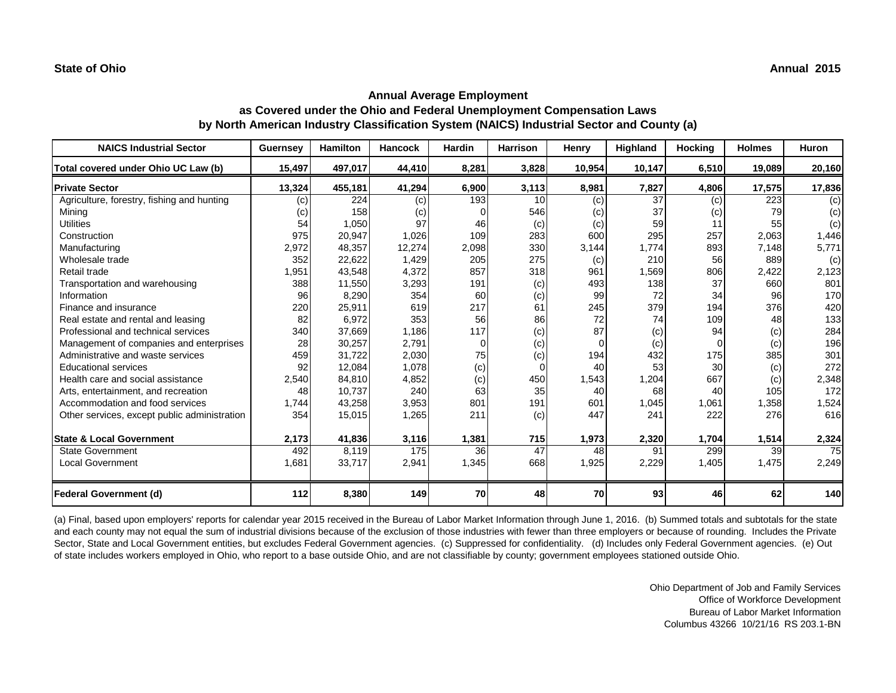## **Annual Average Employment as Covered under the Ohio and Federal Unemployment Compensation Laws by North American Industry Classification System (NAICS) Industrial Sector and County (a)**

| <b>NAICS Industrial Sector</b>               | <b>Guernsey</b> | <b>Hamilton</b> | <b>Hancock</b> | Hardin | <b>Harrison</b> | Henry  | Highland | <b>Hocking</b> | <b>Holmes</b> | <b>Huron</b> |
|----------------------------------------------|-----------------|-----------------|----------------|--------|-----------------|--------|----------|----------------|---------------|--------------|
| Total covered under Ohio UC Law (b)          | 15,497          | 497,017         | 44,410         | 8,281  | 3,828           | 10,954 | 10,147   | 6,510          | 19,089        | 20,160       |
| <b>Private Sector</b>                        | 13,324          | 455,181         | 41,294         | 6,900  | 3,113           | 8,981  | 7,827    | 4,806          | 17,575        | 17,836       |
| Agriculture, forestry, fishing and hunting   | (c)             | 224             | (c)            | 193    | 10              | (c)    | 37       | (c)            | 223           | (c)          |
| Mining                                       | (c)             | 158             | (c)            |        | 546             | (c)    | 37       | (c)            | 79            | (c)          |
| <b>Utilities</b>                             | 54              | 1,050           | 97             | 46     | (c)             | (c)    | 59       |                | 55            | (c)          |
| Construction                                 | 975             | 20,947          | 1,026          | 109    | 283             | 600    | 295      | 257            | 2,063         | 1,446        |
| Manufacturing                                | 2,972           | 48,357          | 12,274         | 2,098  | 330             | 3,144  | 1.774    | 893            | 7,148         | 5,771        |
| Wholesale trade                              | 352             | 22,622          | 1,429          | 205    | 275             | (c)    | 210      | 56             | 889           | (c)          |
| Retail trade                                 | 1,951           | 43,548          | 4,372          | 857    | 318             | 961    | 1,569    | 806            | 2,422         | 2,123        |
| Transportation and warehousing               | 388             | 11,550          | 3,293          | 191    | (c)             | 493    | 138      | 37             | 660           | 801          |
| Information                                  | 96              | 8,290           | 354            | 60     | (c)             | 99     | 72       | 34             | 96            | 170          |
| Finance and insurance                        | 220             | 25,911          | 619            | 217    | 61              | 245    | 379      | 194            | 376           | 420          |
| Real estate and rental and leasing           | 82              | 6,972           | 353            | 56     | 86              | 72     | 74       | 109            | 48            | 133          |
| Professional and technical services          | 340             | 37,669          | 1,186          | 117    | (c)             | 87     | (c)      | 94             | (c)           | 284          |
| Management of companies and enterprises      | 28              | 30,257          | 2,791          | 0      | (c)             |        | (c)      |                | (c)           | 196          |
| Administrative and waste services            | 459             | 31,722          | 2,030          | 75     | (c)             | 194    | 432      | 175            | 385           | 301          |
| <b>Educational services</b>                  | 92              | 12,084          | 1,078          | (c)    | $\Omega$        | 40     | 53       | 30             | (c)           | 272          |
| Health care and social assistance            | 2,540           | 84,810          | 4,852          | (c)    | 450             | 1,543  | 1,204    | 667            | (c)           | 2,348        |
| Arts, entertainment, and recreation          | 48              | 10,737          | 240            | 63     | 35              | 40     | 68       | 40             | 105           | 172          |
| Accommodation and food services              | 1,744           | 43,258          | 3,953          | 801    | 191             | 601    | 1,045    | 1,061          | 1,358         | 1,524        |
| Other services, except public administration | 354             | 15,015          | 1,265          | 211    | (c)             | 447    | 241      | 222            | 276           | 616          |
| <b>State &amp; Local Government</b>          | 2,173           | 41,836          | 3,116          | 1,381  | 715             | 1,973  | 2,320    | 1,704          | 1,514         | 2,324        |
| <b>State Government</b>                      | 492             | 8,119           | 175            | 36     | 47              | 48     | 91       | 299            | 39            | 75           |
| <b>Local Government</b>                      | 1,681           | 33,717          | 2,941          | 1,345  | 668             | 1,925  | 2,229    | 1,405          | 1,475         | 2,249        |
| <b>Federal Government (d)</b>                | 112             | 8,380           | 149            | 70     | 48              | 70     | 93       | 46             | 62            | 140          |

(a) Final, based upon employers' reports for calendar year 2015 received in the Bureau of Labor Market Information through June 1, 2016. (b) Summed totals and subtotals for the state and each county may not equal the sum of industrial divisions because of the exclusion of those industries with fewer than three employers or because of rounding. Includes the Private Sector, State and Local Government entities, but excludes Federal Government agencies. (c) Suppressed for confidentiality. (d) Includes only Federal Government agencies. (e) Out of state includes workers employed in Ohio, who report to a base outside Ohio, and are not classifiable by county; government employees stationed outside Ohio.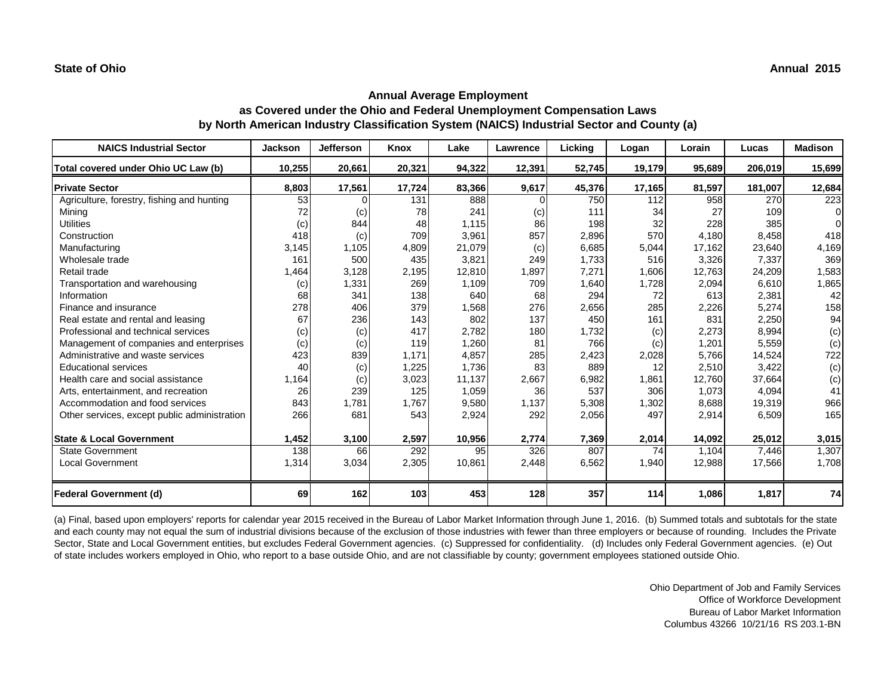# **Annual Average Employment as Covered under the Ohio and Federal Unemployment Compensation Laws by North American Industry Classification System (NAICS) Industrial Sector and County (a)**

| <b>NAICS Industrial Sector</b>               | <b>Jackson</b> | <b>Jefferson</b> | <b>Knox</b> | Lake   | Lawrence | Lickina | Logan  | Lorain | Lucas   | <b>Madison</b> |
|----------------------------------------------|----------------|------------------|-------------|--------|----------|---------|--------|--------|---------|----------------|
| Total covered under Ohio UC Law (b)          | 10,255         | 20,661           | 20,321      | 94,322 | 12,391   | 52,745  | 19,179 | 95,689 | 206,019 | 15,699         |
| <b>Private Sector</b>                        | 8,803          | 17,561           | 17,724      | 83,366 | 9,617    | 45,376  | 17,165 | 81,597 | 181,007 | 12,684         |
| Agriculture, forestry, fishing and hunting   | 53             | $\Omega$         | 131         | 888    | 0        | 750     | 112    | 958    | 270     | 223            |
| Mining                                       | 72             | (c)              | 78          | 241    | (c)      | 111     | 34     | 27     | 109     | $\Omega$       |
| <b>Utilities</b>                             | (c)            | 844              | 48          | 1,115  | 86       | 198     | 32     | 228    | 385     | $\Omega$       |
| Construction                                 | 418            | (c)              | 709         | 3,961  | 857      | 2,896   | 570    | 4,180  | 8,458   | 418            |
| Manufacturing                                | 3,145          | 1,105            | 4,809       | 21,079 | (c)      | 6,685   | 5,044  | 17,162 | 23,640  | 4,169          |
| Wholesale trade                              | 161            | 500              | 435         | 3,821  | 249      | 1,733   | 516    | 3,326  | 7,337   | 369            |
| Retail trade                                 | 1,464          | 3,128            | 2,195       | 12,810 | 1,897    | 7,271   | 1,606  | 12,763 | 24,209  | 1,583          |
| Transportation and warehousing               | (c)            | 1,331            | 269         | 1,109  | 709      | 1,640   | 1,728  | 2,094  | 6,610   | 1,865          |
| Information                                  | 68             | 341              | 138         | 640    | 68       | 294     | 72     | 613    | 2,381   | 42             |
| Finance and insurance                        | 278            | 406              | 379         | 1,568  | 276      | 2,656   | 285    | 2,226  | 5,274   | 158            |
| Real estate and rental and leasing           | 67             | 236              | 143         | 802    | 137      | 450     | 161    | 831    | 2,250   | 94             |
| Professional and technical services          | (c)            | (c)              | 417         | 2,782  | 180      | 1,732   | (c)    | 2,273  | 8,994   | (c)            |
| Management of companies and enterprises      | (c)            | (c)              | 119         | 1,260  | 81       | 766     | (c)    | 1,201  | 5,559   | (c)            |
| Administrative and waste services            | 423            | 839              | 1.171       | 4,857  | 285      | 2,423   | 2,028  | 5.766  | 14,524  | 722            |
| <b>Educational services</b>                  | 40             | (c)              | 1,225       | 1,736  | 83       | 889     | 12     | 2,510  | 3,422   | (c)            |
| Health care and social assistance            | 1,164          | (c)              | 3,023       | 11,137 | 2,667    | 6,982   | 1,861  | 12,760 | 37,664  | (c)            |
| Arts, entertainment, and recreation          | 26             | 239              | 125         | 1,059  | 36       | 537     | 306    | 1,073  | 4,094   | 41             |
| Accommodation and food services              | 843            | 1,781            | 1,767       | 9,580  | 1,137    | 5,308   | 1,302  | 8,688  | 19,319  | 966            |
| Other services, except public administration | 266            | 681              | 543         | 2,924  | 292      | 2,056   | 497    | 2,914  | 6,509   | 165            |
| <b>State &amp; Local Government</b>          | 1,452          | 3,100            | 2,597       | 10,956 | 2,774    | 7,369   | 2,014  | 14,092 | 25,012  | 3,015          |
| <b>State Government</b>                      | 138            | 66               | 292         | 95     | 326      | 807     | 74     | 1,104  | 7,446   | 1,307          |
| <b>Local Government</b>                      | 1,314          | 3,034            | 2,305       | 10,861 | 2,448    | 6,562   | 1,940  | 12,988 | 17,566  | 1,708          |
| <b>Federal Government (d)</b>                | 69             | 162              | 103         | 453    | 128      | 357     | 114    | 1,086  | 1,817   | 74             |

(a) Final, based upon employers' reports for calendar year 2015 received in the Bureau of Labor Market Information through June 1, 2016. (b) Summed totals and subtotals for the state and each county may not equal the sum of industrial divisions because of the exclusion of those industries with fewer than three employers or because of rounding. Includes the Private Sector, State and Local Government entities, but excludes Federal Government agencies. (c) Suppressed for confidentiality. (d) Includes only Federal Government agencies. (e) Out of state includes workers employed in Ohio, who report to a base outside Ohio, and are not classifiable by county; government employees stationed outside Ohio.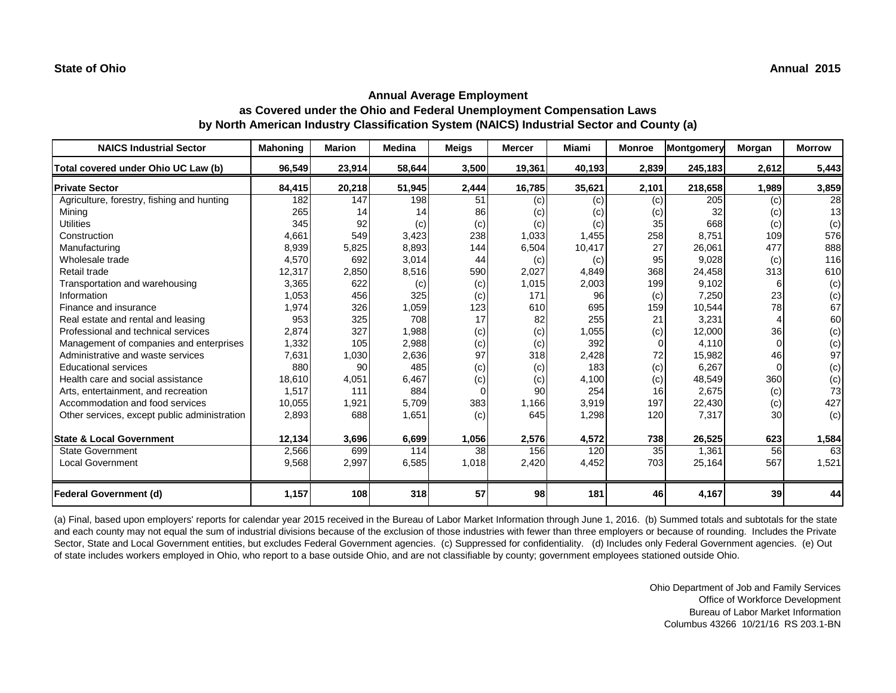# **Annual Average Employment as Covered under the Ohio and Federal Unemployment Compensation Laws by North American Industry Classification System (NAICS) Industrial Sector and County (a)**

| <b>NAICS Industrial Sector</b>               | Mahoning | <b>Marion</b> | <b>Medina</b> | <b>Meigs</b> | <b>Mercer</b> | <b>Miami</b> | <b>Monroe</b> | Montgomery | Morgan   | <b>Morrow</b> |
|----------------------------------------------|----------|---------------|---------------|--------------|---------------|--------------|---------------|------------|----------|---------------|
| Total covered under Ohio UC Law (b)          | 96,549   | 23,914        | 58,644        | 3,500        | 19,361        | 40,193       | 2,839         | 245,183    | 2,612    | 5,443         |
| <b>Private Sector</b>                        | 84,415   | 20,218        | 51,945        | 2,444        | 16,785        | 35,621       | 2,101         | 218,658    | 1,989    | 3,859         |
| Agriculture, forestry, fishing and hunting   | 182      | 147           | 198           | 51           | (c)           | (c)          | (c)           | 205        | (c)      | 28            |
| Mining                                       | 265      | 14            | 14            | 86           | (c)           | (c)          | (c)           | 32         | (c)      | 13            |
| <b>Utilities</b>                             | 345      | 92            | (c)           | (c)          | (c)           | (c)          | 35            | 668        | (c)      | (c)           |
| Construction                                 | 4,661    | 549           | 3,423         | 238          | 1,033         | 1,455        | 258           | 8,751      | 109      | 576           |
| Manufacturing                                | 8,939    | 5,825         | 8,893         | 144          | 6,504         | 10,417       | 27            | 26,061     | 477      | 888           |
| Wholesale trade                              | 4,570    | 692           | 3,014         | 44           | (c)           | (c)          | 95            | 9,028      | (c)      | 116           |
| Retail trade                                 | 12,317   | 2,850         | 8,516         | 590          | 2,027         | 4,849        | 368           | 24,458     | 313      | 610           |
| Transportation and warehousing               | 3,365    | 622           | (c)           | (c)          | 1,015         | 2,003        | 199           | 9,102      | 6        | (c)           |
| Information                                  | 1,053    | 456           | 325           | (c)          | 171           | 96           | (c)           | 7,250      | 23       | (c)           |
| Finance and insurance                        | 1,974    | 326           | 1,059         | 123          | 610           | 695          | 159           | 10,544     | 78       | 67            |
| Real estate and rental and leasing           | 953      | 325           | 708           | 17           | 82            | 255          | 21            | 3,231      |          | 60            |
| Professional and technical services          | 2,874    | 327           | 1,988         | (c)          | (c)           | 1,055        | (c)           | 12,000     | 36       | (c)           |
| Management of companies and enterprises      | 1,332    | 105           | 2,988         | (c)          | (c)           | 392          |               | 4,110      | $\Omega$ | (c)           |
| Administrative and waste services            | 7,631    | 1,030         | 2,636         | 97           | 318           | 2,428        | 72            | 15,982     | 46       | 97            |
| <b>Educational services</b>                  | 880      | 90            | 485           | (c)          | (c)           | 183          | (c)           | 6,267      | $\Omega$ | (c)           |
| Health care and social assistance            | 18,610   | 4,051         | 6,467         | (c)          | (c)           | 4,100        | (c)           | 48,549     | 360      | (c)           |
| Arts, entertainment, and recreation          | 1,517    | 111           | 884           |              | 90            | 254          | 16            | 2,675      | (c)      | 73            |
| Accommodation and food services              | 10,055   | 1,921         | 5,709         | 383          | 1,166         | 3,919        | 197           | 22,430     | (c)      | 427           |
| Other services, except public administration | 2,893    | 688           | 1,651         | (c)          | 645           | 1,298        | 120           | 7,317      | 30       | (c)           |
| <b>State &amp; Local Government</b>          | 12,134   | 3,696         | 6,699         | 1,056        | 2,576         | 4,572        | 738           | 26,525     | 623      | 1,584         |
| <b>State Government</b>                      | 2,566    | 699           | 114           | 38           | 156           | 120          | 35            | 1,361      | 56       | 63            |
| <b>Local Government</b>                      | 9,568    | 2,997         | 6,585         | 1,018        | 2,420         | 4,452        | 703           | 25,164     | 567      | 1,521         |
| <b>Federal Government (d)</b>                | 1,157    | 108           | 318           | 57           | 98            | 181          | 46            | 4,167      | 39       | 44            |

(a) Final, based upon employers' reports for calendar year 2015 received in the Bureau of Labor Market Information through June 1, 2016. (b) Summed totals and subtotals for the state and each county may not equal the sum of industrial divisions because of the exclusion of those industries with fewer than three employers or because of rounding. Includes the Private Sector, State and Local Government entities, but excludes Federal Government agencies. (c) Suppressed for confidentiality. (d) Includes only Federal Government agencies. (e) Out of state includes workers employed in Ohio, who report to a base outside Ohio, and are not classifiable by county; government employees stationed outside Ohio.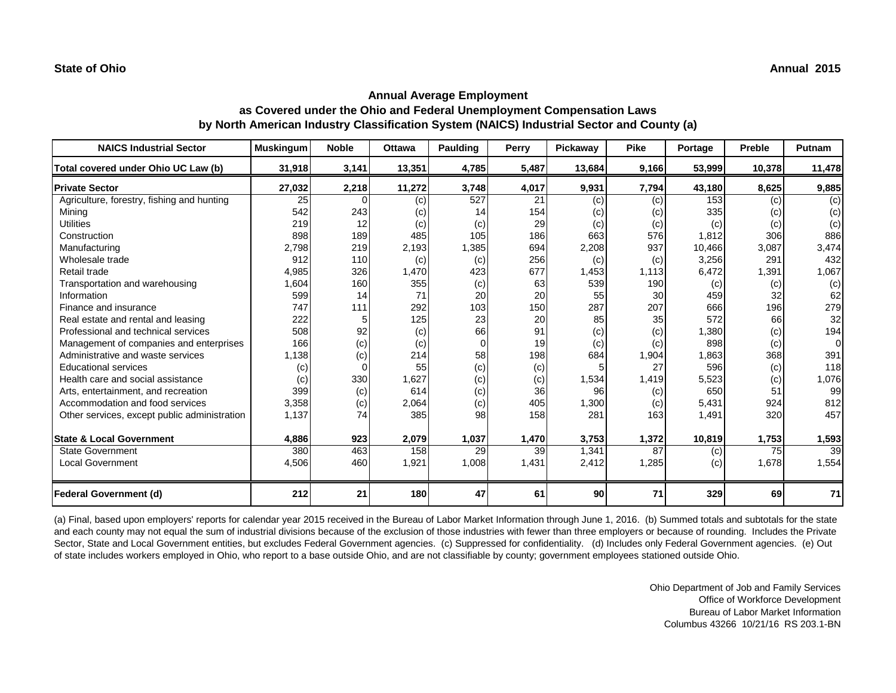## **Annual Average Employment as Covered under the Ohio and Federal Unemployment Compensation Laws by North American Industry Classification System (NAICS) Industrial Sector and County (a)**

| <b>NAICS Industrial Sector</b>               | <b>Muskingum</b> | <b>Noble</b> | <b>Ottawa</b> | Paulding | Perry | <b>Pickawav</b> | <b>Pike</b> | Portage | Preble | Putnam      |
|----------------------------------------------|------------------|--------------|---------------|----------|-------|-----------------|-------------|---------|--------|-------------|
| Total covered under Ohio UC Law (b)          | 31,918           | 3,141        | 13,351        | 4,785    | 5,487 | 13,684          | 9,166       | 53,999  | 10,378 | 11,478      |
| <b>Private Sector</b>                        | 27,032           | 2,218        | 11,272        | 3,748    | 4,017 | 9,931           | 7,794       | 43,180  | 8,625  | 9,885       |
| Agriculture, forestry, fishing and hunting   | 25               | 0            | (c)           | 527      | 21    | (c)             | (c)         | 153     | (c)    | (c)         |
| Mining                                       | 542              | 243          | (c)           | 14       | 154   | (c)             | (c)         | 335     | (c)    | (c)         |
| <b>Utilities</b>                             | 219              | 12           | (c)           | (c)      | 29    | (c)             | (c)         | (c)     | (c)    | (c)         |
| Construction                                 | 898              | 189          | 485           | 105      | 186   | 663             | 576         | 1,812   | 306    | 886         |
| Manufacturing                                | 2,798            | 219          | 2,193         | 1,385    | 694   | 2,208           | 937         | 10,466  | 3,087  | 3,474       |
| Wholesale trade                              | 912              | 110          | (c)           | (c)      | 256   | (c)             | (c)         | 3,256   | 291    | 432         |
| Retail trade                                 | 4,985            | 326          | 1,470         | 423      | 677   | 1,453           | 1.113       | 6,472   | 1,391  | 1,067       |
| Transportation and warehousing               | 1,604            | 160          | 355           | (c)      | 63    | 539             | 190         | (c)     | (c)    | (c)         |
| Information                                  | 599              | 14           | 71            | 20       | 20    | 55              | 30          | 459     | 32     | 62          |
| Finance and insurance                        | 747              | 111          | 292           | 103      | 150   | 287             | 207         | 666     | 196    | 279         |
| Real estate and rental and leasing           | 222              |              | 125           | 23       | 20    | 85              | 35          | 572     | 66     | 32          |
| Professional and technical services          | 508              | 92           | (c)           | 66       | 91    | (c)             | (c)         | 1,380   | (c)    | 194         |
| Management of companies and enterprises      | 166              | (c)          | (c)           | $\Omega$ | 19    | (c)             | (c)         | 898     | (c)    | $\mathbf 0$ |
| Administrative and waste services            | 1,138            | (c)          | 214           | 58       | 198   | 684             | 1,904       | 1,863   | 368    | 391         |
| <b>Educational services</b>                  | (c)              |              | 55            | (c)      | (c)   |                 | 27          | 596     | (c)    | 118         |
| Health care and social assistance            | (c)              | 330          | 1,627         | (c)      | (c)   | 1,534           | 1,419       | 5,523   | (c)    | 1,076       |
| Arts, entertainment, and recreation          | 399              | (c)          | 614           | (c)      | 36    | 96              | (c)         | 650     | 51     | 99          |
| Accommodation and food services              | 3,358            | (c)          | 2,064         | (c)      | 405   | 1,300           | (c)         | 5,431   | 924    | 812         |
| Other services, except public administration | 1,137            | 74           | 385           | 98       | 158   | 281             | 163         | 1,491   | 320    | 457         |
| <b>State &amp; Local Government</b>          | 4,886            | 923          | 2,079         | 1,037    | 1,470 | 3,753           | 1,372       | 10,819  | 1,753  | 1,593       |
| <b>State Government</b>                      | 380              | 463          | 158           | 29       | 39    | 1,341           | 87          | (c)     | 75     | 39          |
| <b>Local Government</b>                      | 4,506            | 460          | 1,921         | 1,008    | 1,431 | 2,412           | 1,285       | (c)     | 1,678  | 1,554       |
| <b>Federal Government (d)</b>                | 212              | 21           | 180           | 47       | 61    | 90              | 71          | 329     | 69     | 71          |

(a) Final, based upon employers' reports for calendar year 2015 received in the Bureau of Labor Market Information through June 1, 2016. (b) Summed totals and subtotals for the state and each county may not equal the sum of industrial divisions because of the exclusion of those industries with fewer than three employers or because of rounding. Includes the Private Sector, State and Local Government entities, but excludes Federal Government agencies. (c) Suppressed for confidentiality. (d) Includes only Federal Government agencies. (e) Out of state includes workers employed in Ohio, who report to a base outside Ohio, and are not classifiable by county; government employees stationed outside Ohio.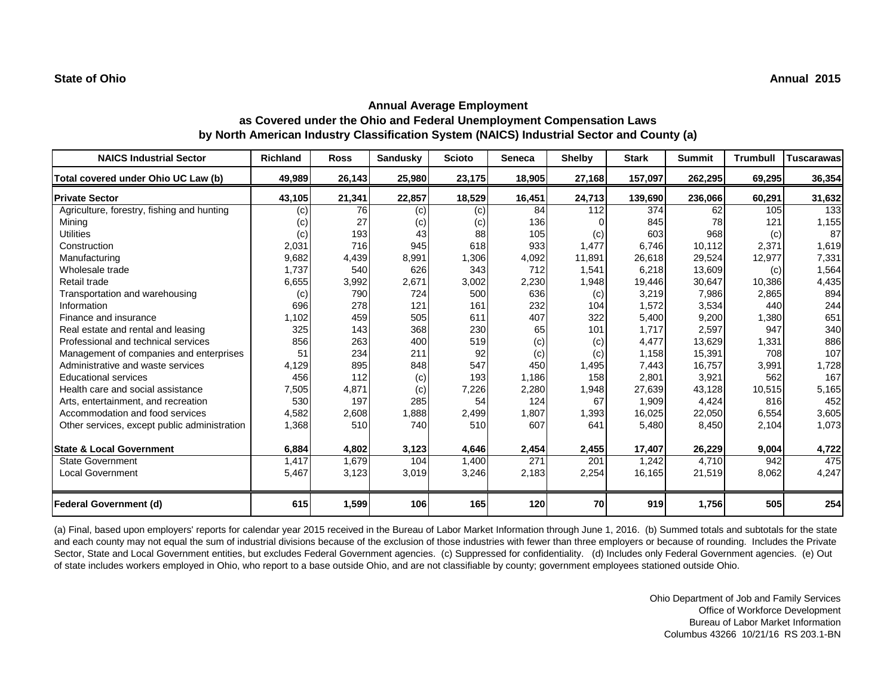# **Annual Average Employment as Covered under the Ohio and Federal Unemployment Compensation Laws by North American Industry Classification System (NAICS) Industrial Sector and County (a)**

| <b>NAICS Industrial Sector</b>               | Richland | <b>Ross</b> | <b>Sandusky</b> | <b>Scioto</b> | <b>Seneca</b> | <b>Shelby</b> | <b>Stark</b> | <b>Summit</b> | <b>Trumbull</b> | <b>Tuscarawas</b> |
|----------------------------------------------|----------|-------------|-----------------|---------------|---------------|---------------|--------------|---------------|-----------------|-------------------|
| Total covered under Ohio UC Law (b)          | 49,989   | 26,143      | 25,980          | 23,175        | 18,905        | 27,168        | 157,097      | 262,295       | 69,295          | 36,354            |
| <b>Private Sector</b>                        | 43,105   | 21,341      | 22,857          | 18,529        | 16,451        | 24,713        | 139,690      | 236,066       | 60,291          | 31,632            |
| Agriculture, forestry, fishing and hunting   | (c)      | 76          | (c)             | (c)           | 84            | 112           | 374          | 62            | 105             | 133               |
| Mining                                       | (c)      | 27          | (c)             | (c)           | 136           |               | 845          | 78            | 121             | 1,155             |
| <b>Utilities</b>                             | (c)      | 193         | 43              | 88            | 105           | (c)           | 603          | 968           | (c)             | 87                |
| Construction                                 | 2,031    | 716         | 945             | 618           | 933           | 1,477         | 6,746        | 10,112        | 2,371           | 1,619             |
| Manufacturing                                | 9,682    | 4,439       | 8,991           | 1,306         | 4,092         | 11,891        | 26,618       | 29,524        | 12,977          | 7,331             |
| Wholesale trade                              | 1,737    | 540         | 626             | 343           | 712           | 1,541         | 6,218        | 13,609        | (c)             | 1,564             |
| Retail trade                                 | 6,655    | 3,992       | 2,671           | 3,002         | 2,230         | 1,948         | 19,446       | 30,647        | 10,386          | 4,435             |
| Transportation and warehousing               | (c)      | 790         | 724             | 500           | 636           | (c)           | 3,219        | 7,986         | 2,865           | 894               |
| Information                                  | 696      | 278         | 121             | 161           | 232           | 104           | 1,572        | 3,534         | 440             | 244               |
| Finance and insurance                        | 1,102    | 459         | 505             | 611           | 407           | 322           | 5,400        | 9,200         | 1,380           | 651               |
| Real estate and rental and leasing           | 325      | 143         | 368             | 230           | 65            | 101           | 1,717        | 2,597         | 947             | 340               |
| Professional and technical services          | 856      | 263         | 400             | 519           | (c)           | (c)           | 4,477        | 13,629        | 1,331           | 886               |
| Management of companies and enterprises      | 51       | 234         | 211             | 92            | (c)           | (c)           | 1,158        | 15,391        | 708             | 107               |
| Administrative and waste services            | 4,129    | 895         | 848             | 547           | 450           | 1,495         | 7,443        | 16.757        | 3,991           | 1,728             |
| <b>Educational services</b>                  | 456      | 112         | (c)             | 193           | 1,186         | 158           | 2,801        | 3,921         | 562             | 167               |
| Health care and social assistance            | 7,505    | 4,871       | (c)             | 7,226         | 2,280         | 1,948         | 27,639       | 43,128        | 10,515          | 5,165             |
| Arts, entertainment, and recreation          | 530      | 197         | 285             | 54            | 124           | 67            | 1,909        | 4,424         | 816             | 452               |
| Accommodation and food services              | 4,582    | 2,608       | 1,888           | 2,499         | 1,807         | 1,393         | 16,025       | 22,050        | 6,554           | 3,605             |
| Other services, except public administration | 1,368    | 510         | 740             | 510           | 607           | 641           | 5,480        | 8,450         | 2,104           | 1,073             |
| <b>State &amp; Local Government</b>          | 6,884    | 4,802       | 3,123           | 4,646         | 2,454         | 2,455         | 17,407       | 26,229        | 9,004           | 4,722             |
| <b>State Government</b>                      | 1,417    | 1,679       | 104             | 1,400         | 271           | 201           | 1,242        | 4,710         | 942             | 475               |
| <b>Local Government</b>                      | 5,467    | 3,123       | 3,019           | 3,246         | 2,183         | 2,254         | 16,165       | 21,519        | 8,062           | 4,247             |
| <b>Federal Government (d)</b>                | 615      | 1,599       | 106             | 165           | 120           | 70            | 919          | 1,756         | 505             | 254               |

(a) Final, based upon employers' reports for calendar year 2015 received in the Bureau of Labor Market Information through June 1, 2016. (b) Summed totals and subtotals for the state and each county may not equal the sum of industrial divisions because of the exclusion of those industries with fewer than three employers or because of rounding. Includes the Private Sector, State and Local Government entities, but excludes Federal Government agencies. (c) Suppressed for confidentiality. (d) Includes only Federal Government agencies. (e) Out of state includes workers employed in Ohio, who report to a base outside Ohio, and are not classifiable by county; government employees stationed outside Ohio.